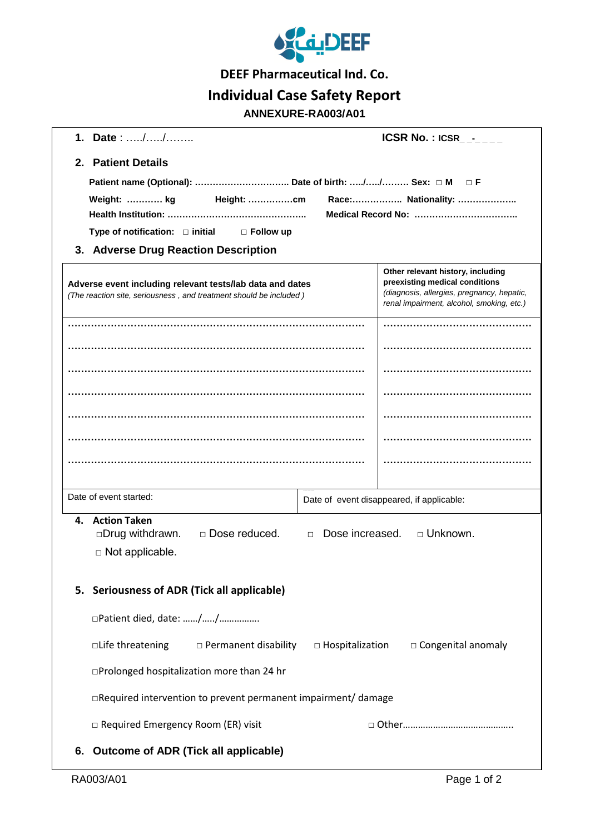

**DEEF Pharmaceutical Ind. Co.**

## **Individual Case Safety Report**

## **ANNEXURE-RA003/A01**

| 1. Date: //                                                                                                                     |  | <b>ICSR No.: ICSR - CONSTRUES</b>                                                       |  |
|---------------------------------------------------------------------------------------------------------------------------------|--|-----------------------------------------------------------------------------------------|--|
| 2. Patient Details                                                                                                              |  |                                                                                         |  |
| Patient name (Optional):  Date of birth: // Sex: □ M □ F                                                                        |  |                                                                                         |  |
| Race: Nationality:<br>Weight:  kg<br>Height: cm                                                                                 |  |                                                                                         |  |
|                                                                                                                                 |  |                                                                                         |  |
| Type of notification: $\Box$ initial $\Box$ Follow up<br>3. Adverse Drug Reaction Description                                   |  |                                                                                         |  |
|                                                                                                                                 |  | Other relevant history, including                                                       |  |
| Adverse event including relevant tests/lab data and dates<br>(The reaction site, seriousness, and treatment should be included) |  | preexisting medical conditions                                                          |  |
|                                                                                                                                 |  | (diagnosis, allergies, pregnancy, hepatic,<br>renal impairment, alcohol, smoking, etc.) |  |
|                                                                                                                                 |  |                                                                                         |  |
|                                                                                                                                 |  |                                                                                         |  |
|                                                                                                                                 |  |                                                                                         |  |
|                                                                                                                                 |  |                                                                                         |  |
|                                                                                                                                 |  |                                                                                         |  |
|                                                                                                                                 |  |                                                                                         |  |
|                                                                                                                                 |  |                                                                                         |  |
|                                                                                                                                 |  |                                                                                         |  |
| Date of event started:<br>Date of event disappeared, if applicable:                                                             |  |                                                                                         |  |
| 4. Action Taken<br>□ Unknown.<br>□ Dose reduced.<br>Dose increased.                                                             |  |                                                                                         |  |
| □Drug withdrawn.<br>$\Box$<br>$\Box$ Not applicable.                                                                            |  |                                                                                         |  |
|                                                                                                                                 |  |                                                                                         |  |
| 5. Seriousness of ADR (Tick all applicable)                                                                                     |  |                                                                                         |  |
| □Patient died, date: //                                                                                                         |  |                                                                                         |  |
| $\square$ Life threatening $\square$ Permanent disability<br>$\Box$ Hospitalization<br>$\Box$ Congenital anomaly                |  |                                                                                         |  |
|                                                                                                                                 |  |                                                                                         |  |
| □Prolonged hospitalization more than 24 hr                                                                                      |  |                                                                                         |  |
| $\Box$ Required intervention to prevent permanent impairment/ damage                                                            |  |                                                                                         |  |
| □ Required Emergency Room (ER) visit                                                                                            |  |                                                                                         |  |
| <b>Outcome of ADR (Tick all applicable)</b><br>6.                                                                               |  |                                                                                         |  |
|                                                                                                                                 |  |                                                                                         |  |